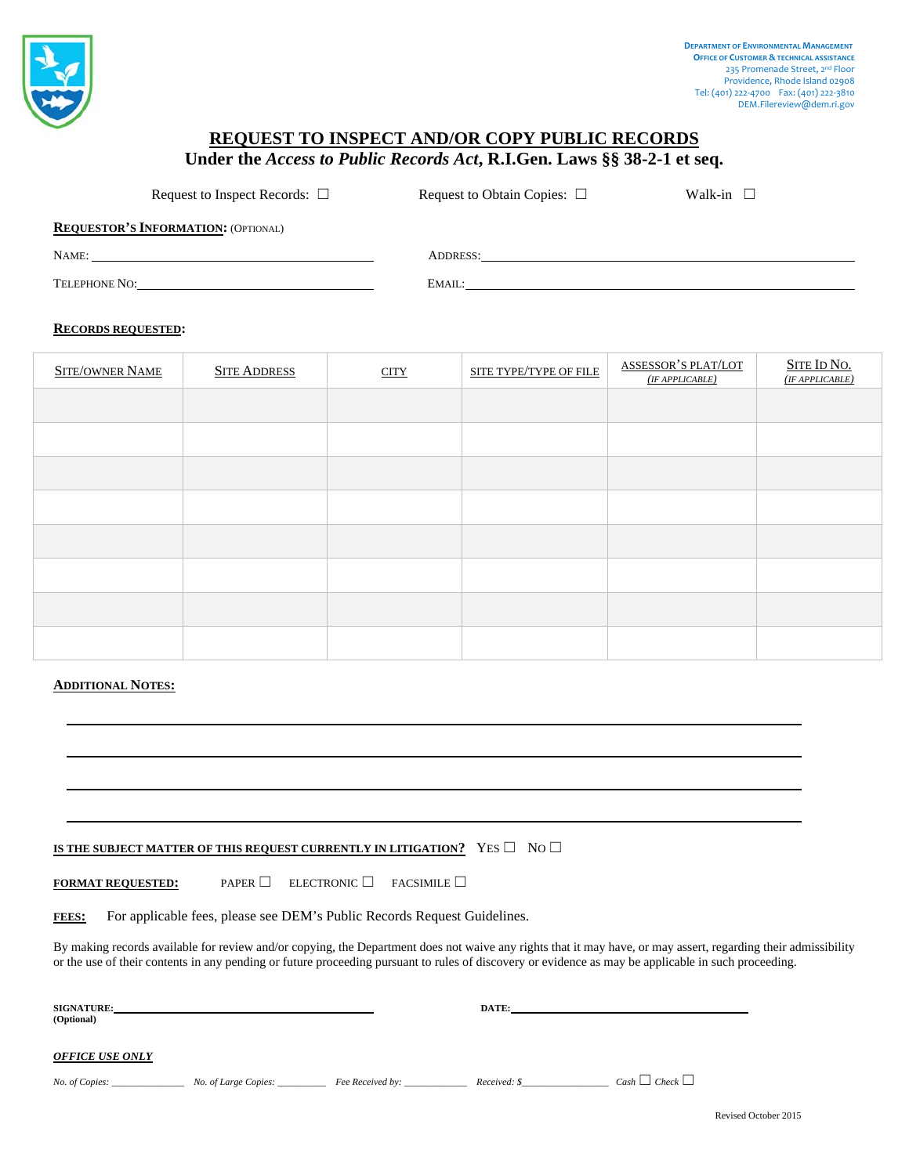

## **REQUEST TO INSPECT AND/OR COPY PUBLIC RECORDS**

**Under the** *Access to Public Records Act***, R.I.Gen. Laws §§ 38-2-1 et seq.** 

Request to Inspect Records: □ Request to Obtain Copies: □ Walk-in □

**REQUESTOR'S INFORMATION:** (OPTIONAL)

NAME: ADDRESS:

TELEPHONE NO: EMAIL: EMAIL:

## **RECORDS REQUESTED:**

| <b>SITE/OWNER NAME</b> | <b>SITE ADDRESS</b> | <b>CITY</b> | SITE TYPE/TYPE OF FILE | <b>ASSESSOR'S PLAT/LOT</b><br>(IF APPLICATION) | SITE ID NO.<br>(IF APPLICABLE) |
|------------------------|---------------------|-------------|------------------------|------------------------------------------------|--------------------------------|
|                        |                     |             |                        |                                                |                                |
|                        |                     |             |                        |                                                |                                |
|                        |                     |             |                        |                                                |                                |
|                        |                     |             |                        |                                                |                                |
|                        |                     |             |                        |                                                |                                |
|                        |                     |             |                        |                                                |                                |
|                        |                     |             |                        |                                                |                                |
|                        |                     |             |                        |                                                |                                |

## **ADDITIONAL NOTES:**

## **IS THE SUBJECT MATTER OF THIS REQUEST CURRENTLY IN LITIGATION?** YES □ NO □

**FORMAT REQUESTED:** PAPER ☐ ELECTRONIC ☐ FACSIMILE ☐

FEES: For applicable fees, please see DEM's Public Records Request Guidelines.

By making records available for review and/or copying, the Department does not waive any rights that it may have, or may assert, regarding their admissibility or the use of their contents in any pending or future proceeding pursuant to rules of discovery or evidence as may be applicable in such proceeding.

| <b>SIGNATURE:</b><br>(Optional)                            | DATE:        |                        |
|------------------------------------------------------------|--------------|------------------------|
| <b>OFFICE USE ONLY</b>                                     |              |                        |
| Fee Received by:<br>No. of Copies:<br>No. of Large Copies: | Received: \$ | $Cash \Box Check \Box$ |